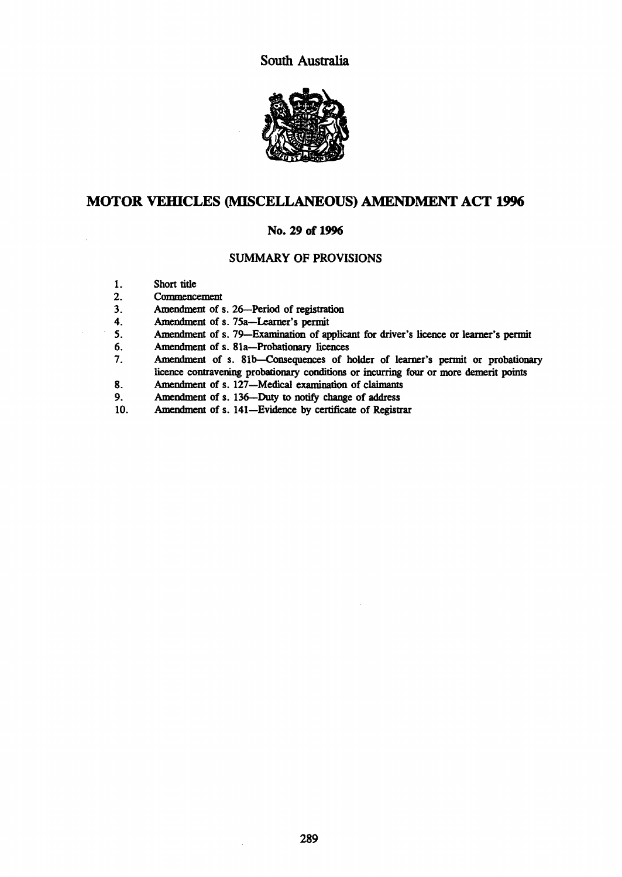South Australia



# MOTOR VEHICLES (MISCELLANEOUS) AMENDMENT ACT 1996

# No. 29 of 1996

### SUMMARY OF PROVISIONS

- 1. Short title<br>2. Commence
- 2. Commencement<br>3. Amendment of s
- 3. Amendment of s. 26—Period of registration<br>4. Amendment of s. 75a—Learner's permit
- Amendment of s. 75a-Learner's permit
- 5. Amendment of s. 79—Examination of applicant for driver's licence or learner's permit 6. Amendment of s. 81a—Probationary licences
- 6. Amendment of s. 81a--Probationary licences<br>7. Amendment of s. 81b--Consequences of h
- Amendment of s. 81b-Consequences of holder of learner's permit or probationary licence contravening probationary conditions or incurring four or more demerit points
- 8. Amendment of s. 127—Medical examination of claimants<br>9. Amendment of s. 136—Duty to notify change of address
- 9. Amendment of s. 136--Duty to notify change of address<br>10. Amendment of s. 141-Evidence by certificate of Registr
- Amendment of s. 141-Evidence by certificate of Registrar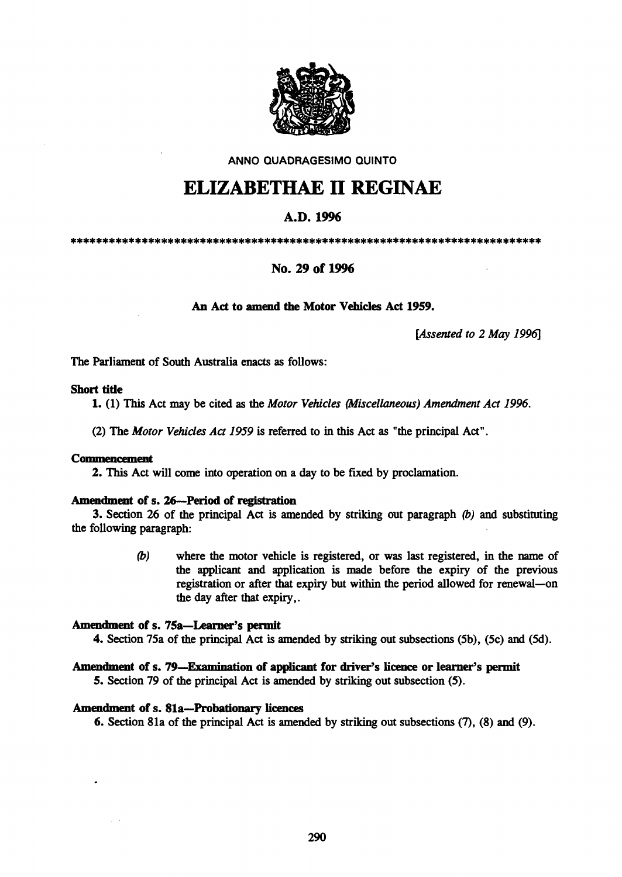

ANNO QUADRAGESIMO QUINTO

# ELIZABETHAE **11 REGINAE**

# A.D.I996

\*\*\*\*\*\*\*\*\*\*\*\*\*\*\*\*\*\*\*\*\*\*\*\*\*\*\*\*\*\*\*\*\*\*\*\*\*\*\*\*\*\*\*\*\*\*\*\*\*\*\*\*\*\*\*\*\*\*\*\*\*\*\*\*\*\*\*\*\*\*\*\*\*

# No. 29 of 1996

## An Act to amend the Motor Vehicles Act 1959.

*[Assented to* 2 *May 1996]* 

The Parliament of South Australia enacts as follows:

#### Short title

1. (I) This Act may be cited as the *Motor Vehicles (Miscellaneous) Amendment Act 1996.* 

(2) The *Motor Vehicles Act* 1959 is referred to in this Act as "the principal Act".

#### Commencement

2. This Act will come into operation on a day to be fixed by proclamation.

#### Amendment of s. 26-Period of registration

3. Section 26 of the principal Act is amended by striking out paragraph (b) and substituting the following paragraph:

> (b) where the motor vehicle is registered, or was last registered, in the name of the applicant and application is made before the expiry of the previous registration or after that expiry but within the period allowed for renewal-on the day after that expiry,.

#### Amendment of s. 75a-Learner's permit

4. Section 75a of the principal Act is amended by striking out subsections (5b), (5c) and (Sd).

## Amendment of s. 79-Examination of applicant for driver's licence or learner's permit

5. Section 79 of the principal Act is amended by striking out subsection (5).

#### Amendment of s. Sla-Probationary licences

6. Section 81a of the principal Act is amended by striking out subsections (7), (8) and (9).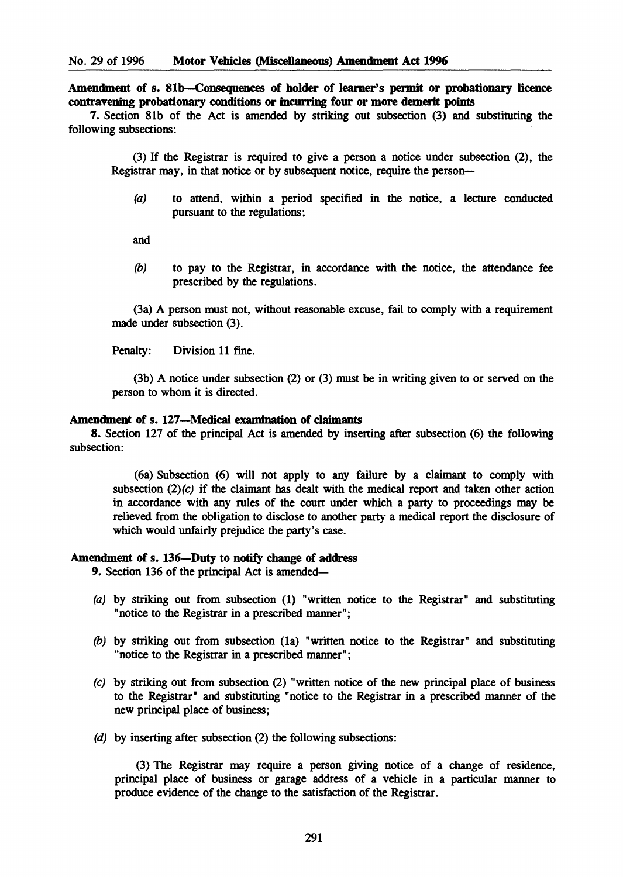Amendment of s. 81b-Consequences of holder of learner's pennit or probatiooary licence contravening probationary conditions or incurring four or more demerit points

7. Section 81b of the Act is amended by striking out subsection (3) and substituting the following subsections:

(3) If the Registrar is required to give a person a notice under subsection (2), the Registrar may, in that notice or by subsequent notice, require the person-

(a) to attend, within a period specified in the notice, a lecture conducted pursuant to the regulations;

and

(b) to pay to the Registrar, in accordance with the notice, the attendance fee prescribed by the regulations.

(3a) A person must not, without reasonable excuse, fail to comply with a requirement made under subsection (3).

Penalty: Division 11 fine.

(3b) A notice under subsection (2) or (3) must be in writing given to or served on the person to whom it is directed.

#### Amendment of s. 127-Medical examination of claimants

8. Section 127 of the principal Act is amended by inserting after subsection (6) the following subsection:

(6a) Subsection (6) will not apply to any failure by a claimant to comply with subsection  $(2)(c)$  if the claimant has dealt with the medical report and taken other action in accordance with any rules of the court under which a party to proceedings may be relieved from the obligation to disclose to another party a medical report the disclosure of which would unfairly prejudice the party's case.

#### Amendment of s. 136-Duty to notify change of address

9. Section 136 of the principal Act is amended-

- (a) by striking out from subsection (1) "written notice to the Registrar" and substituting "notice to the Registrar in a prescribed manner";
- (b) by striking out from subsection (la) "written notice to the Registrar" and substituting "notice to the Registrar in a prescribed manner";
- (c) by striking out from subsection (2) "written notice of the new principal place of business to the Registrar" and substituting "notice to the Registrar in a prescribed manner of the new principal place of business;
- (d) by inserting after subsection (2) the following subsections:

(3) The Registrar may require a person giving notice of a change of residence, principal place of business or garage address of a vehicle in a particular manner to produce evidence of the change to the satisfaction of the Registrar.